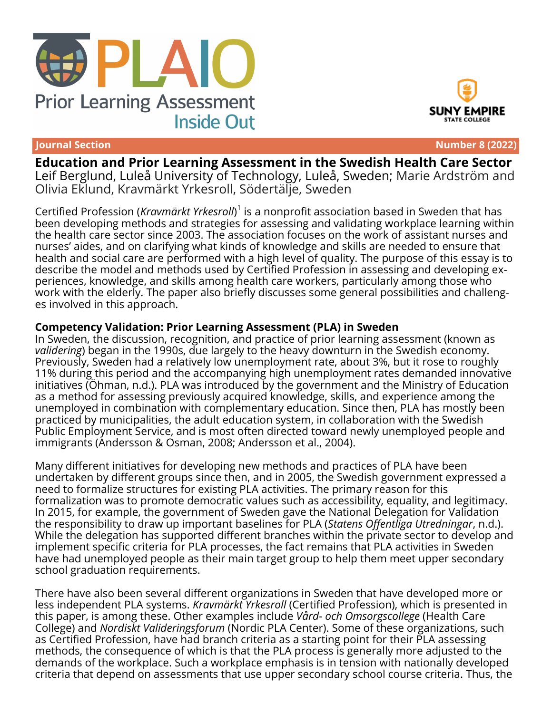





**Journal Section Number 8 (2022)**

**Education and Prior Learning Assessment in the Swedish Health Care Sector** Leif Berglund, Luleå University of Technology, Luleå, Sweden; Marie Ardström and Olivia Eklund, Kravmärkt Yrkesroll, Södertälje, Sweden

Certified Profession (*Kravmärkt Yrkesroll*) 1 is a nonprofit association based in Sweden that has been developing methods and strategies for assessing and validating workplace learning within the health care sector since 2003. The association focuses on the work of assistant nurses and nurses' aides, and on clarifying what kinds of knowledge and skills are needed to ensure that health and social care are performed with a high level of quality. The purpose of this essay is to describe the model and methods used by Certified Profession in assessing and developing experiences, knowledge, and skills among health care workers, particularly among those who work with the elderly. The paper also briefly discusses some general possibilities and challenges involved in this approach.

# **Competency Validation: Prior Learning Assessment (PLA) in Sweden**

In Sweden, the discussion, recognition, and practice of prior learning assessment (known as *validering*) began in the 1990s, due largely to the heavy downturn in the Swedish economy. Previously, Sweden had a relatively low unemployment rate, about 3%, but it rose to roughly 11% during this period and the accompanying high unemployment rates demanded innovative initiatives (Öhman, n.d.). PLA was introduced by the government and the Ministry of Education as a method for assessing previously acquired knowledge, skills, and experience among the unemployed in combination with complementary education. Since then, PLA has mostly been practiced by municipalities, the adult education system, in collaboration with the Swedish Public Employment Service, and is most often directed toward newly unemployed people and immigrants (Andersson & Osman, 2008; Andersson et al., 2004).

Many different initiatives for developing new methods and practices of PLA have been undertaken by different groups since then, and in 2005, the Swedish government expressed a need to formalize structures for existing PLA activities. The primary reason for this formalization was to promote democratic values such as accessibility, equality, and legitimacy. In 2015, for example, the government of Sweden gave the National Delegation for Validation the responsibility to draw up important baselines for PLA (*Statens Offentliga Utredningar*, n.d.). While the delegation has supported different branches within the private sector to develop and implement specific criteria for PLA processes, the fact remains that PLA activities in Sweden have had unemployed people as their main target group to help them meet upper secondary school graduation requirements.

There have also been several different organizations in Sweden that have developed more or less independent PLA systems. *Kravmärkt Yrkesroll* (Certified Profession), which is presented in this paper, is among these. Other examples include *Vård- och Omsorgscollege* (Health Care College) and *Nordiskt Valideringsforum* (Nordic PLA Center). Some of these organizations, such as Certified Profession, have had branch criteria as a starting point for their PLA assessing methods, the consequence of which is that the PLA process is generally more adjusted to the demands of the workplace. Such a workplace emphasis is in tension with nationally developed criteria that depend on assessments that use upper secondary school course criteria. Thus, the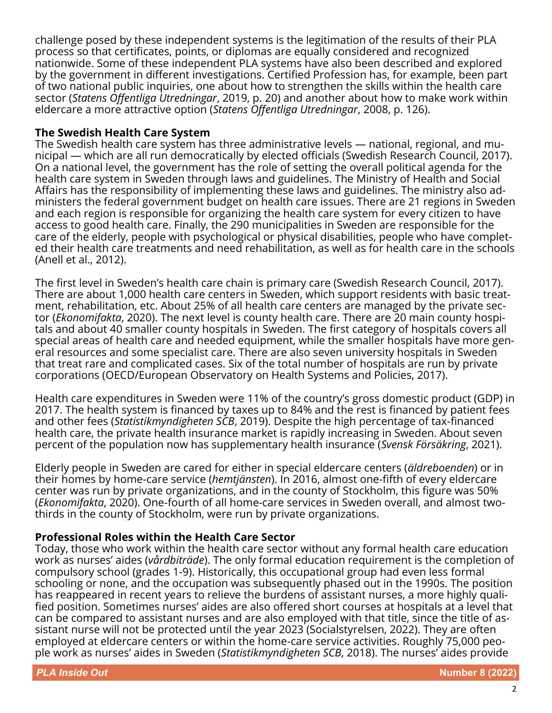challenge posed by these independent systems is the legitimation of the results of their PLA process so that certificates, points, or diplomas are equally considered and recognized nationwide. Some of these independent PLA systems have also been described and explored by the government in different investigations. Certified Profession has, for example, been part of two national public inquiries, one about how to strengthen the skills within the health care sector (*Statens Offentliga Utredningar*, 2019, p. 20) and another about how to make work within eldercare a more attractive option (*Statens Offentliga Utredningar*, 2008, p. 126).

# **The Swedish Health Care System**

The Swedish health care system has three administrative levels — national, regional, and municipal — which are all run democratically by elected officials (Swedish Research Council, 2017). On a national level, the government has the role of setting the overall political agenda for the health care system in Sweden through laws and guidelines. The Ministry of Health and Social Affairs has the responsibility of implementing these laws and guidelines. The ministry also administers the federal government budget on health care issues. There are 21 regions in Sweden and each region is responsible for organizing the health care system for every citizen to have access to good health care. Finally, the 290 municipalities in Sweden are responsible for the care of the elderly, people with psychological or physical disabilities, people who have completed their health care treatments and need rehabilitation, as well as for health care in the schools (Anell et al., 2012).

The first level in Sweden's health care chain is primary care (Swedish Research Council, 2017). There are about 1,000 health care centers in Sweden, which support residents with basic treatment, rehabilitation, etc. About 25% of all health care centers are managed by the private sector (*Ekonomifakta*, 2020). The next level is county health care. There are 20 main county hospitals and about 40 smaller county hospitals in Sweden. The first category of hospitals covers all special areas of health care and needed equipment, while the smaller hospitals have more general resources and some specialist care. There are also seven university hospitals in Sweden that treat rare and complicated cases. Six of the total number of hospitals are run by private corporations (OECD/European Observatory on Health Systems and Policies, 2017).

Health care expenditures in Sweden were 11% of the country's gross domestic product (GDP) in 2017. The health system is financed by taxes up to 84% and the rest is financed by patient fees and other fees (*Statistikmyndigheten SCB*, 2019). Despite the high percentage of tax-financed health care, the private health insurance market is rapidly increasing in Sweden. About seven percent of the population now has supplementary health insurance (*Svensk Försäkring*, 2021).

Elderly people in Sweden are cared for either in special eldercare centers (*äldreboenden*) or in their homes by home-care service (*hemtjänsten*). In 2016, almost one-fifth of every eldercare center was run by private organizations, and in the county of Stockholm, this figure was 50% (*Ekonomifakta*, 2020). One-fourth of all home-care services in Sweden overall, and almost twothirds in the county of Stockholm, were run by private organizations.

# **Professional Roles within the Health Care Sector**

Today, those who work within the health care sector without any formal health care education work as nurses' aides (*vårdbiträde*). The only formal education requirement is the completion of compulsory school (grades 1-9). Historically, this occupational group had even less formal schooling or none, and the occupation was subsequently phased out in the 1990s. The position has reappeared in recent years to relieve the burdens of assistant nurses, a more highly qualified position. Sometimes nurses' aides are also offered short courses at hospitals at a level that can be compared to assistant nurses and are also employed with that title, since the title of assistant nurse will not be protected until the year 2023 (Socialstyrelsen, 2022). They are often employed at eldercare centers or within the home-care service activities. Roughly 75,000 people work as nurses' aides in Sweden (*Statistikmyndigheten SCB*, 2018). The nurses' aides provide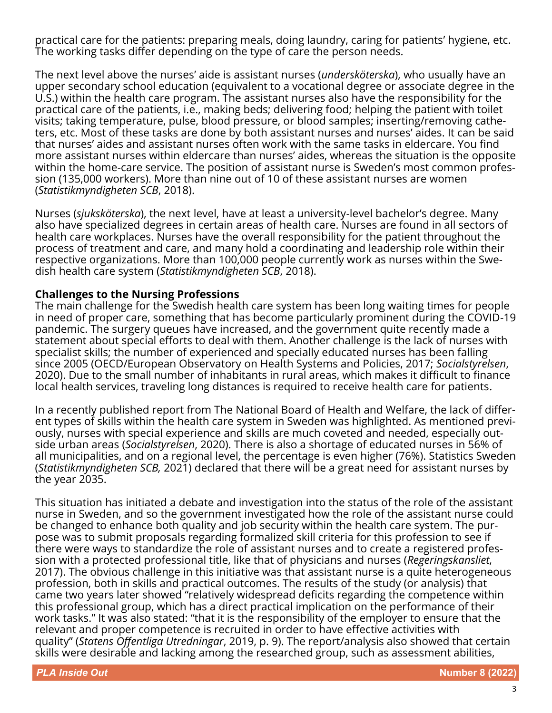practical care for the patients: preparing meals, doing laundry, caring for patients' hygiene, etc. The working tasks differ depending on the type of care the person needs.

The next level above the nurses' aide is assistant nurses (*undersköterska*), who usually have an upper secondary school education (equivalent to a vocational degree or associate degree in the U.S.) within the health care program. The assistant nurses also have the responsibility for the practical care of the patients, i.e., making beds; delivering food; helping the patient with toilet visits; taking temperature, pulse, blood pressure, or blood samples; inserting/removing catheters, etc. Most of these tasks are done by both assistant nurses and nurses' aides. It can be said that nurses' aides and assistant nurses often work with the same tasks in eldercare. You find more assistant nurses within eldercare than nurses' aides, whereas the situation is the opposite within the home-care service. The position of assistant nurse is Sweden's most common profession (135,000 workers). More than nine out of 10 of these assistant nurses are women (*Statistikmyndigheten SCB*, 2018).

Nurses (*sjuksköterska*), the next level, have at least a university-level bachelor's degree. Many also have specialized degrees in certain areas of health care. Nurses are found in all sectors of health care workplaces. Nurses have the overall responsibility for the patient throughout the process of treatment and care, and many hold a coordinating and leadership role within their respective organizations. More than 100,000 people currently work as nurses within the Swedish health care system (*Statistikmyndigheten SCB*, 2018).

#### **Challenges to the Nursing Professions**

The main challenge for the Swedish health care system has been long waiting times for people in need of proper care, something that has become particularly prominent during the COVID-19 pandemic. The surgery queues have increased, and the government quite recently made a statement about special efforts to deal with them. Another challenge is the lack of nurses with specialist skills; the number of experienced and specially educated nurses has been falling since 2005 (OECD/European Observatory on Health Systems and Policies, 2017; *Socialstyrelsen*, 2020). Due to the small number of inhabitants in rural areas, which makes it difficult to finance local health services, traveling long distances is required to receive health care for patients.

In a recently published report from The National Board of Health and Welfare, the lack of different types of skills within the health care system in Sweden was highlighted. As mentioned previously, nurses with special experience and skills are much coveted and needed, especially outside urban areas (*Socialstyrelsen*, 2020). There is also a shortage of educated nurses in 56% of all municipalities, and on a regional level, the percentage is even higher (76%). Statistics Sweden (*Statistikmyndigheten SCB,* 2021) declared that there will be a great need for assistant nurses by the year 2035.

This situation has initiated a debate and investigation into the status of the role of the assistant nurse in Sweden, and so the government investigated how the role of the assistant nurse could be changed to enhance both quality and job security within the health care system. The purpose was to submit proposals regarding formalized skill criteria for this profession to see if there were ways to standardize the role of assistant nurses and to create a registered profession with a protected professional title, like that of physicians and nurses (*Regeringskansliet*, 2017). The obvious challenge in this initiative was that assistant nurse is a quite heterogeneous profession, both in skills and practical outcomes. The results of the study (or analysis) that came two years later showed "relatively widespread deficits regarding the competence within this professional group, which has a direct practical implication on the performance of their work tasks." It was also stated: "that it is the responsibility of the employer to ensure that the relevant and proper competence is recruited in order to have effective activities with quality" (*Statens Offentliga Utredningar*, 2019, p. 9). The report/analysis also showed that certain skills were desirable and lacking among the researched group, such as assessment abilities,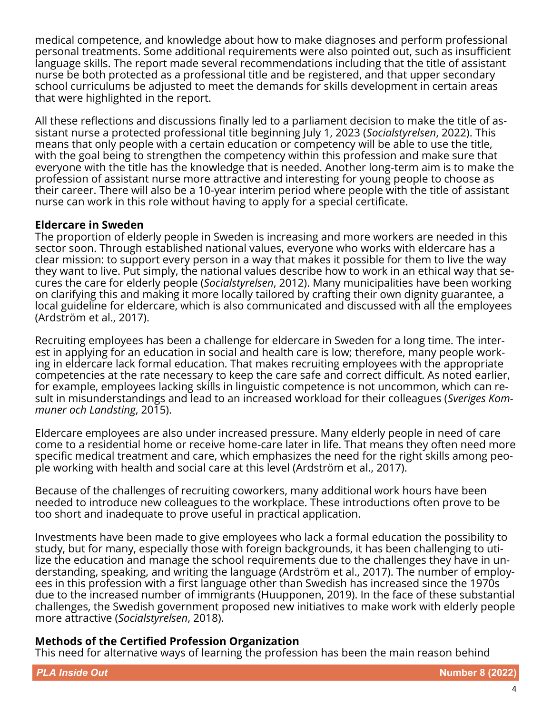medical competence, and knowledge about how to make diagnoses and perform professional personal treatments. Some additional requirements were also pointed out, such as insufficient language skills. The report made several recommendations including that the title of assistant nurse be both protected as a professional title and be registered, and that upper secondary school curriculums be adjusted to meet the demands for skills development in certain areas that were highlighted in the report.

All these reflections and discussions finally led to a parliament decision to make the title of assistant nurse a protected professional title beginning July 1, 2023 (*Socialstyrelsen*, 2022). This means that only people with a certain education or competency will be able to use the title, with the goal being to strengthen the competency within this profession and make sure that everyone with the title has the knowledge that is needed. Another long-term aim is to make the profession of assistant nurse more attractive and interesting for young people to choose as their career. There will also be a 10-year interim period where people with the title of assistant nurse can work in this role without having to apply for a special certificate.

# **Eldercare in Sweden**

The proportion of elderly people in Sweden is increasing and more workers are needed in this sector soon. Through established national values, everyone who works with eldercare has a clear mission: to support every person in a way that makes it possible for them to live the way they want to live. Put simply, the national values describe how to work in an ethical way that secures the care for elderly people (*Socialstyrelsen*, 2012). Many municipalities have been working on clarifying this and making it more locally tailored by crafting their own dignity guarantee, a local guideline for eldercare, which is also communicated and discussed with all the employees (Ardström et al., 2017).

Recruiting employees has been a challenge for eldercare in Sweden for a long time. The interest in applying for an education in social and health care is low; therefore, many people working in eldercare lack formal education. That makes recruiting employees with the appropriate competencies at the rate necessary to keep the care safe and correct difficult. As noted earlier, for example, employees lacking skills in linguistic competence is not uncommon, which can result in misunderstandings and lead to an increased workload for their colleagues (*Sveriges Kommuner och Landsting*, 2015).

Eldercare employees are also under increased pressure. Many elderly people in need of care come to a residential home or receive home-care later in life. That means they often need more specific medical treatment and care, which emphasizes the need for the right skills among people working with health and social care at this level (Ardström et al., 2017).

Because of the challenges of recruiting coworkers, many additional work hours have been needed to introduce new colleagues to the workplace. These introductions often prove to be too short and inadequate to prove useful in practical application.

Investments have been made to give employees who lack a formal education the possibility to study, but for many, especially those with foreign backgrounds, it has been challenging to utilize the education and manage the school requirements due to the challenges they have in understanding, speaking, and writing the language (Ardström et al., 2017). The number of employees in this profession with a first language other than Swedish has increased since the 1970s due to the increased number of immigrants (Huupponen, 2019). In the face of these substantial challenges, the Swedish government proposed new initiatives to make work with elderly people more attractive (*Socialstyrelsen*, 2018).

#### **Methods of the Certified Profession Organization**

This need for alternative ways of learning the profession has been the main reason behind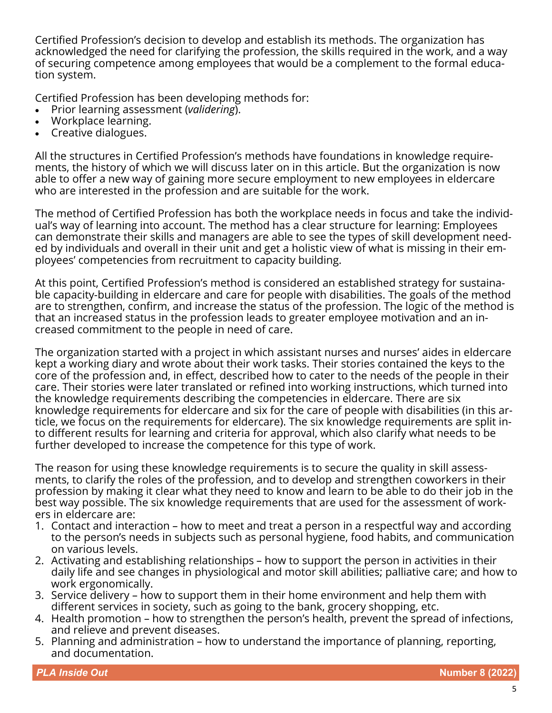Certified Profession's decision to develop and establish its methods. The organization has acknowledged the need for clarifying the profession, the skills required in the work, and a way of securing competence among employees that would be a complement to the formal education system.

Certified Profession has been developing methods for:

- Prior learning assessment (*validering*).
- Workplace learning.
- Creative dialogues.

All the structures in Certified Profession's methods have foundations in knowledge requirements, the history of which we will discuss later on in this article. But the organization is now able to offer a new way of gaining more secure employment to new employees in eldercare who are interested in the profession and are suitable for the work.

The method of Certified Profession has both the workplace needs in focus and take the individual's way of learning into account. The method has a clear structure for learning: Employees can demonstrate their skills and managers are able to see the types of skill development needed by individuals and overall in their unit and get a holistic view of what is missing in their employees' competencies from recruitment to capacity building.

At this point, Certified Profession's method is considered an established strategy for sustainable capacity-building in eldercare and care for people with disabilities. The goals of the method are to strengthen, confirm, and increase the status of the profession. The logic of the method is that an increased status in the profession leads to greater employee motivation and an increased commitment to the people in need of care.

The organization started with a project in which assistant nurses and nurses' aides in eldercare kept a working diary and wrote about their work tasks. Their stories contained the keys to the core of the profession and, in effect, described how to cater to the needs of the people in their care. Their stories were later translated or refined into working instructions, which turned into the knowledge requirements describing the competencies in eldercare. There are six knowledge requirements for eldercare and six for the care of people with disabilities (in this article, we focus on the requirements for eldercare). The six knowledge requirements are split into different results for learning and criteria for approval, which also clarify what needs to be further developed to increase the competence for this type of work.

The reason for using these knowledge requirements is to secure the quality in skill assessments, to clarify the roles of the profession, and to develop and strengthen coworkers in their profession by making it clear what they need to know and learn to be able to do their job in the best way possible. The six knowledge requirements that are used for the assessment of workers in eldercare are:

- 1. Contact and interaction how to meet and treat a person in a respectful way and according to the person's needs in subjects such as personal hygiene, food habits, and communication on various levels.
- 2. Activating and establishing relationships how to support the person in activities in their daily life and see changes in physiological and motor skill abilities; palliative care; and how to work ergonomically.
- 3. Service delivery how to support them in their home environment and help them with different services in society, such as going to the bank, grocery shopping, etc.
- 4. Health promotion how to strengthen the person's health, prevent the spread of infections, and relieve and prevent diseases.
- 5. Planning and administration how to understand the importance of planning, reporting, and documentation.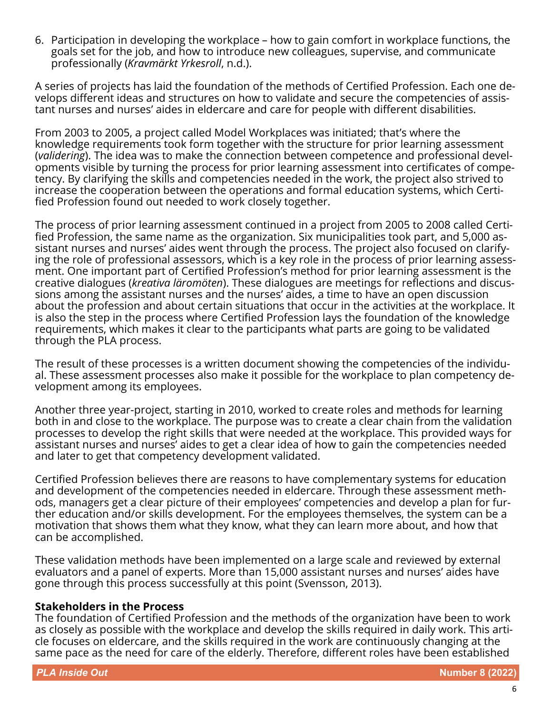6. Participation in developing the workplace – how to gain comfort in workplace functions, the goals set for the job, and how to introduce new colleagues, supervise, and communicate professionally (*Kravmärkt Yrkesroll*, n.d.).

A series of projects has laid the foundation of the methods of Certified Profession. Each one develops different ideas and structures on how to validate and secure the competencies of assistant nurses and nurses' aides in eldercare and care for people with different disabilities.

From 2003 to 2005, a project called Model Workplaces was initiated; that's where the knowledge requirements took form together with the structure for prior learning assessment (*validering*). The idea was to make the connection between competence and professional developments visible by turning the process for prior learning assessment into certificates of competency. By clarifying the skills and competencies needed in the work, the project also strived to increase the cooperation between the operations and formal education systems, which Certified Profession found out needed to work closely together.

The process of prior learning assessment continued in a project from 2005 to 2008 called Certified Profession, the same name as the organization. Six municipalities took part, and 5,000 assistant nurses and nurses' aides went through the process. The project also focused on clarifying the role of professional assessors, which is a key role in the process of prior learning assessment. One important part of Certified Profession's method for prior learning assessment is the creative dialogues (*kreativa läromöten*). These dialogues are meetings for reflections and discussions among the assistant nurses and the nurses' aides, a time to have an open discussion about the profession and about certain situations that occur in the activities at the workplace. It is also the step in the process where Certified Profession lays the foundation of the knowledge requirements, which makes it clear to the participants what parts are going to be validated through the PLA process.

The result of these processes is a written document showing the competencies of the individual. These assessment processes also make it possible for the workplace to plan competency development among its employees.

Another three year-project, starting in 2010, worked to create roles and methods for learning both in and close to the workplace. The purpose was to create a clear chain from the validation processes to develop the right skills that were needed at the workplace. This provided ways for assistant nurses and nurses' aides to get a clear idea of how to gain the competencies needed and later to get that competency development validated.

Certified Profession believes there are reasons to have complementary systems for education and development of the competencies needed in eldercare. Through these assessment methods, managers get a clear picture of their employees' competencies and develop a plan for further education and/or skills development. For the employees themselves, the system can be a motivation that shows them what they know, what they can learn more about, and how that can be accomplished.

These validation methods have been implemented on a large scale and reviewed by external evaluators and a panel of experts. More than 15,000 assistant nurses and nurses' aides have gone through this process successfully at this point (Svensson, 2013).

#### **Stakeholders in the Process**

The foundation of Certified Profession and the methods of the organization have been to work as closely as possible with the workplace and develop the skills required in daily work. This article focuses on eldercare, and the skills required in the work are continuously changing at the same pace as the need for care of the elderly. Therefore, different roles have been established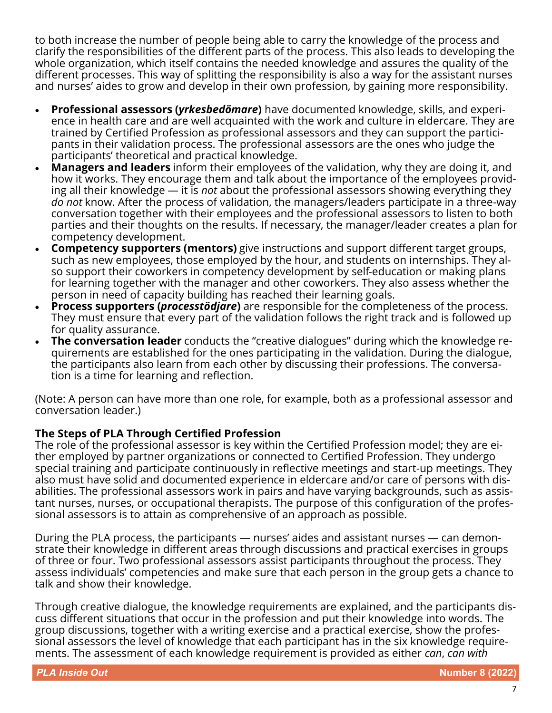to both increase the number of people being able to carry the knowledge of the process and clarify the responsibilities of the different parts of the process. This also leads to developing the whole organization, which itself contains the needed knowledge and assures the quality of the different processes. This way of splitting the responsibility is also a way for the assistant nurses and nurses' aides to grow and develop in their own profession, by gaining more responsibility.

- **Professional assessors (***yrkesbedömare***)** have documented knowledge, skills, and experience in health care and are well acquainted with the work and culture in eldercare. They are trained by Certified Profession as professional assessors and they can support the participants in their validation process. The professional assessors are the ones who judge the participants' theoretical and practical knowledge.
- **Managers and leaders** inform their employees of the validation, why they are doing it, and how it works. They encourage them and talk about the importance of the employees providing all their knowledge — it is *not* about the professional assessors showing everything they *do not* know. After the process of validation, the managers/leaders participate in a three-way conversation together with their employees and the professional assessors to listen to both parties and their thoughts on the results. If necessary, the manager/leader creates a plan for competency development.
- **Competency supporters (mentors)** give instructions and support different target groups, such as new employees, those employed by the hour, and students on internships. They also support their coworkers in competency development by self-education or making plans for learning together with the manager and other coworkers. They also assess whether the person in need of capacity building has reached their learning goals.
- **Process supporters (***processtödjare***)** are responsible for the completeness of the process. They must ensure that every part of the validation follows the right track and is followed up for quality assurance.
- **The conversation leader** conducts the "creative dialogues" during which the knowledge requirements are established for the ones participating in the validation. During the dialogue, the participants also learn from each other by discussing their professions. The conversation is a time for learning and reflection.

(Note: A person can have more than one role, for example, both as a professional assessor and conversation leader.)

# **The Steps of PLA Through Certified Profession**

The role of the professional assessor is key within the Certified Profession model; they are either employed by partner organizations or connected to Certified Profession. They undergo special training and participate continuously in reflective meetings and start-up meetings. They also must have solid and documented experience in eldercare and/or care of persons with disabilities. The professional assessors work in pairs and have varying backgrounds, such as assistant nurses, nurses, or occupational therapists. The purpose of this configuration of the professional assessors is to attain as comprehensive of an approach as possible.

During the PLA process, the participants — nurses' aides and assistant nurses — can demonstrate their knowledge in different areas through discussions and practical exercises in groups of three or four. Two professional assessors assist participants throughout the process. They assess individuals' competencies and make sure that each person in the group gets a chance to talk and show their knowledge.

Through creative dialogue, the knowledge requirements are explained, and the participants discuss different situations that occur in the profession and put their knowledge into words. The group discussions, together with a writing exercise and a practical exercise, show the professional assessors the level of knowledge that each participant has in the six knowledge requirements. The assessment of each knowledge requirement is provided as either *can*, *can with*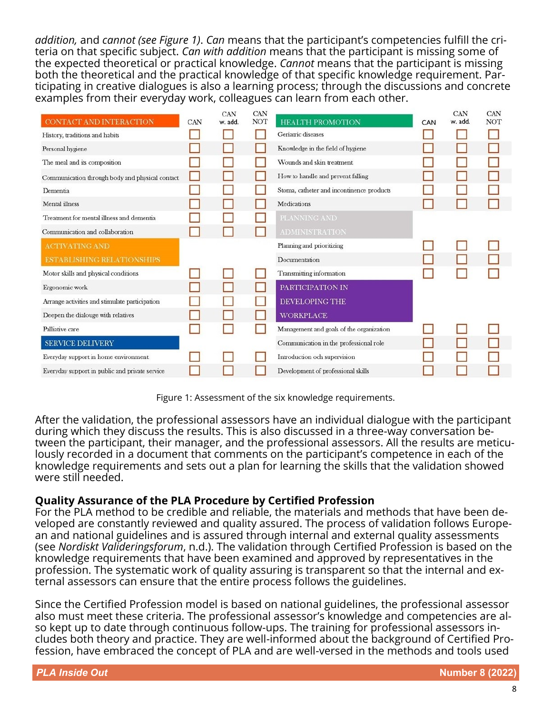*addition,* and *cannot (see Figure 1)*. *Can* means that the participant's competencies fulfill the criteria on that specific subject. *Can with addition* means that the participant is missing some of the expected theoretical or practical knowledge. *Cannot* means that the participant is missing both the theoretical and the practical knowledge of that specific knowledge requirement. Participating in creative dialogues is also a learning process; through the discussions and concrete examples from their everyday work, colleagues can learn from each other.

| CONTACT AND INTERACTION                         | CAN | <b>CAN</b><br>w. add. | <b>CAN</b><br><b>NOT</b> | <b>HEALTH PROMOTION</b>                   | CAN | <b>CAN</b><br>w. add. | CAN<br><b>NOT</b> |
|-------------------------------------------------|-----|-----------------------|--------------------------|-------------------------------------------|-----|-----------------------|-------------------|
| History, traditions and habits                  |     |                       |                          | Geriatric diseases                        |     |                       |                   |
| Personal hygiene                                |     |                       |                          | Knowledge in the field of hygiene         |     |                       |                   |
| The meal and its composition                    |     |                       |                          | Wounds and skin treatment.                |     |                       |                   |
| Communication through body and physical contact |     |                       |                          | How to handle and prevent falling         |     |                       |                   |
| Dementia                                        |     |                       |                          | Stoma, catheter and incontinence products |     |                       |                   |
| Mental illness                                  |     |                       |                          | Medications                               |     |                       |                   |
| Treatment for mental illness and dementia       |     |                       |                          | PLANNING AND                              |     |                       |                   |
| Communication and collaboration                 |     |                       |                          | <b>ADMINISTRATION</b>                     |     |                       |                   |
| <b>ACTIVATING AND</b>                           |     |                       |                          | Planning and prioritizing                 |     |                       |                   |
| <b>ESTABLISHING RELATIONSHIPS</b>               |     |                       |                          | Documentation                             |     |                       |                   |
| Motor skills and physical conditions            |     |                       |                          | Transmitting information                  |     |                       |                   |
| Ergonomic work                                  |     |                       |                          | PARTICIPATION IN                          |     |                       |                   |
| Arrange activities and stimulate participation  |     |                       |                          | <b>DEVELOPING THE</b>                     |     |                       |                   |
| Deepen the dialouge with relatives              |     |                       |                          | <b>WORKPLACE</b>                          |     |                       |                   |
| Palliative care                                 |     |                       |                          | Management and goals of the organization  |     |                       |                   |
| <b>SERVICE DELIVERY</b>                         |     |                       |                          | Communication in the professional role    |     |                       |                   |
| Everyday support in home environment            |     |                       |                          | Introduction och supervision              |     |                       |                   |
| Everyday support in public and private service  |     |                       |                          | Development of professional skills        |     |                       |                   |

Figure 1: Assessment of the six knowledge requirements.

After the validation, the professional assessors have an individual dialogue with the participant during which they discuss the results. This is also discussed in a three-way conversation between the participant, their manager, and the professional assessors. All the results are meticulously recorded in a document that comments on the participant's competence in each of the knowledge requirements and sets out a plan for learning the skills that the validation showed were still needed.

#### **Quality Assurance of the PLA Procedure by Certified Profession**

For the PLA method to be credible and reliable, the materials and methods that have been developed are constantly reviewed and quality assured. The process of validation follows European and national guidelines and is assured through internal and external quality assessments (see *Nordiskt Valideringsforum*, n.d.). The validation through Certified Profession is based on the knowledge requirements that have been examined and approved by representatives in the profession. The systematic work of quality assuring is transparent so that the internal and external assessors can ensure that the entire process follows the guidelines.

Since the Certified Profession model is based on national guidelines, the professional assessor also must meet these criteria. The professional assessor's knowledge and competencies are also kept up to date through continuous follow-ups. The training for professional assessors includes both theory and practice. They are well-informed about the background of Certified Profession, have embraced the concept of PLA and are well-versed in the methods and tools used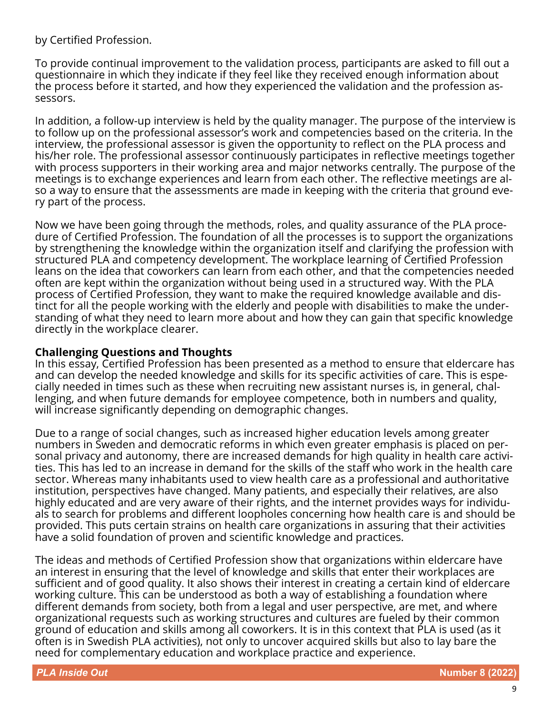by Certified Profession.

To provide continual improvement to the validation process, participants are asked to fill out a questionnaire in which they indicate if they feel like they received enough information about the process before it started, and how they experienced the validation and the profession assessors.

In addition, a follow-up interview is held by the quality manager. The purpose of the interview is to follow up on the professional assessor's work and competencies based on the criteria. In the interview, the professional assessor is given the opportunity to reflect on the PLA process and his/her role. The professional assessor continuously participates in reflective meetings together with process supporters in their working area and major networks centrally. The purpose of the meetings is to exchange experiences and learn from each other. The reflective meetings are also a way to ensure that the assessments are made in keeping with the criteria that ground every part of the process.

Now we have been going through the methods, roles, and quality assurance of the PLA procedure of Certified Profession. The foundation of all the processes is to support the organizations by strengthening the knowledge within the organization itself and clarifying the profession with structured PLA and competency development. The workplace learning of Certified Profession leans on the idea that coworkers can learn from each other, and that the competencies needed often are kept within the organization without being used in a structured way. With the PLA process of Certified Profession, they want to make the required knowledge available and distinct for all the people working with the elderly and people with disabilities to make the understanding of what they need to learn more about and how they can gain that specific knowledge directly in the workplace clearer.

#### **Challenging Questions and Thoughts**

In this essay, Certified Profession has been presented as a method to ensure that eldercare has and can develop the needed knowledge and skills for its specific activities of care. This is especially needed in times such as these when recruiting new assistant nurses is, in general, challenging, and when future demands for employee competence, both in numbers and quality, will increase significantly depending on demographic changes.

Due to a range of social changes, such as increased higher education levels among greater numbers in Sweden and democratic reforms in which even greater emphasis is placed on personal privacy and autonomy, there are increased demands for high quality in health care activities. This has led to an increase in demand for the skills of the staff who work in the health care sector. Whereas many inhabitants used to view health care as a professional and authoritative institution, perspectives have changed. Many patients, and especially their relatives, are also highly educated and are very aware of their rights, and the internet provides ways for individuals to search for problems and different loopholes concerning how health care is and should be provided. This puts certain strains on health care organizations in assuring that their activities have a solid foundation of proven and scientific knowledge and practices.

The ideas and methods of Certified Profession show that organizations within eldercare have an interest in ensuring that the level of knowledge and skills that enter their workplaces are sufficient and of good quality. It also shows their interest in creating a certain kind of eldercare working culture. This can be understood as both a way of establishing a foundation where different demands from society, both from a legal and user perspective, are met, and where organizational requests such as working structures and cultures are fueled by their common ground of education and skills among all coworkers. It is in this context that PLA is used (as it often is in Swedish PLA activities), not only to uncover acquired skills but also to lay bare the need for complementary education and workplace practice and experience.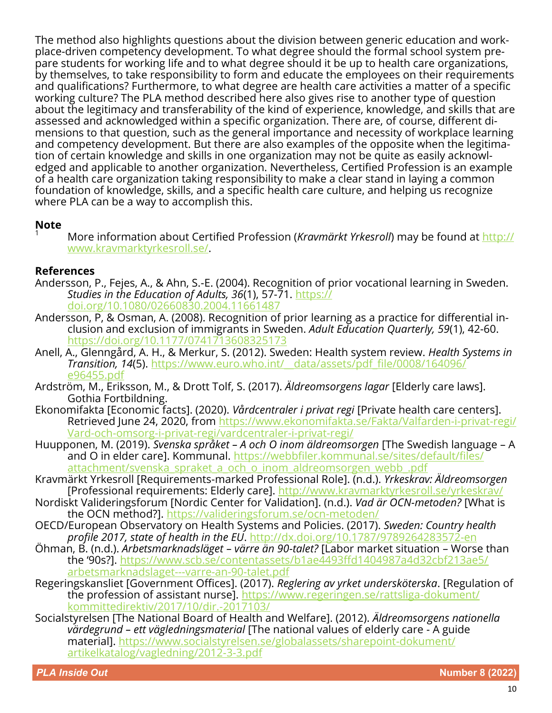The method also highlights questions about the division between generic education and workplace-driven competency development. To what degree should the formal school system prepare students for working life and to what degree should it be up to health care organizations, by themselves, to take responsibility to form and educate the employees on their requirements and qualifications? Furthermore, to what degree are health care activities a matter of a specific working culture? The PLA method described here also gives rise to another type of question about the legitimacy and transferability of the kind of experience, knowledge, and skills that are assessed and acknowledged within a specific organization. There are, of course, different dimensions to that question, such as the general importance and necessity of workplace learning and competency development. But there are also examples of the opposite when the legitimation of certain knowledge and skills in one organization may not be quite as easily acknowledged and applicable to another organization. Nevertheless, Certified Profession is an example of a health care organization taking responsibility to make a clear stand in laying a common foundation of knowledge, skills, and a specific health care culture, and helping us recognize where PLA can be a way to accomplish this.

#### **Note**

<sup>1</sup> More information about Certified Profession (*Kravmärkt Yrkesroll*) may be found at [http://](http://www.kravmarktyrkesroll.se/) [www.kravmarktyrkesroll.se/.](http://www.kravmarktyrkesroll.se/)

#### **References**

- Andersson, P., Fejes, A., & Ahn, S.-E. (2004). Recognition of prior vocational learning in Sweden. *Studies in the Education of Adults, 36*(1), 57-71. [https://](https://doi.org/10.1080/02660830.2004.11661487) [doi.org/10.1080/02660830.2004.11661487](https://doi.org/10.1080/02660830.2004.11661487)
- Andersson, P, & Osman, A. (2008). Recognition of prior learning as a practice for differential inclusion and exclusion of immigrants in Sweden. *Adult Education Quarterly, 59*(1), 42-60. <https://doi.org/10.1177/0741713608325173>
- Anell, A., Glenngård, A. H., & Merkur, S. (2012). Sweden: Health system review. *Health Systems in Transition, 14*(5). [https://www.euro.who.int/\\_\\_data/assets/pdf\\_file/0008/164096/](https://www.euro.who.int/__data/assets/pdf_file/0008/164096/e96455.pdf) [e96455.pdf](https://www.euro.who.int/__data/assets/pdf_file/0008/164096/e96455.pdf)
- Ardström, M., Eriksson, M., & Drott Tolf, S. (2017). *Äldreomsorgens lagar* [Elderly care laws]. Gothia Fortbildning.
- Ekonomifakta [Economic facts]. (2020). *Vårdcentraler i privat regi* [Private health care centers]. Retrieved June 24, 2020, from [https://www.ekonomifakta.se/Fakta/Valfarden](https://www.ekonomifakta.se/Fakta/Valfarden-i-privat-regi/Vard-och-omsorg-i-privat-regi/vardcentraler-i-privat-regi/)-i-privat-regi/ Vard-och-omsorg-i-privat-[regi/vardcentraler](https://www.ekonomifakta.se/Fakta/Valfarden-i-privat-regi/Vard-och-omsorg-i-privat-regi/vardcentraler-i-privat-regi/)-i-privat-regi/
- Huupponen, M. (2019). *Svenska språket – A och O inom äldreomsorgen* [The Swedish language A and O in elder care]. Kommunal. [https://webbfiler.kommunal.se/sites/default/files/](https://webbfiler.kommunal.se/sites/default/files/attachment/svenska_spraket_a_och_o_inom_aldreomsorgen_webb_.pdf) attachment/svenska spraket a och o inom aldreomsorgen webb .pdf
- Kravmärkt Yrkesroll [Requirements-marked Professional Role]. (n.d.). *Yrkeskrav: Äldreomsorgen*  [Professional requirements: Elderly care]. <http://www.kravmarktyrkesroll.se/yrkeskrav/>
- Nordiskt Valideringsforum [Nordic Center for Validation]. (n.d.). *Vad är OCN-metoden?* [What is the OCN method?]. [https://valideringsforum.se/ocn](https://valideringsforum.se/ocn-metoden/)-metoden/
- OECD/European Observatory on Health Systems and Policies. (2017). *Sweden: Country health profile 2017, state of health in the EU*. [http://dx.doi.org/10.1787/9789264283572](http://dx.doi.org/10.1787/9789264283572-en)-en
- Öhman, B. (n.d.). *Arbetsmarknadsläget – värre än 90-talet?* [Labor market situation Worse than the '90s?]. [https://www.scb.se/contentassets/b1ae4493ffd1404987a4d32cbf213ae5/](https://www.scb.se/contentassets/b1ae4493ffd1404987a4d32cbf213ae5/arbetsmarknadslaget---varre-an-90-talet.pdf) [arbetsmarknadslaget](https://www.scb.se/contentassets/b1ae4493ffd1404987a4d32cbf213ae5/arbetsmarknadslaget---varre-an-90-talet.pdf)---varre-an-90-talet.pdf
- Regeringskansliet [Government Offices]. (2017). *Reglering av yrket undersköterska*. [Regulation of the profession of assistant nurse]. [https://www.regeringen.se/rattsliga](https://www.regeringen.se/rattsliga-dokument/kommittedirektiv/2017/10/dir.-2017103/)-dokument/ [kommittedirektiv/2017/10/dir.](https://www.regeringen.se/rattsliga-dokument/kommittedirektiv/2017/10/dir.-2017103/)-2017103/
- Socialstyrelsen [The National Board of Health and Welfare]. (2012). *Äldreomsorgens nationella värdegrund – ett vägledningsmaterial* [The national values of elderly care - A guide material]. [https://www.socialstyrelsen.se/globalassets/sharepoint](https://www.socialstyrelsen.se/globalassets/sharepoint-dokument/artikelkatalog/vagledning/2012-3-3.pdf)-dokument/ [artikelkatalog/vagledning/2012](https://www.socialstyrelsen.se/globalassets/sharepoint-dokument/artikelkatalog/vagledning/2012-3-3.pdf)-3-3.pdf